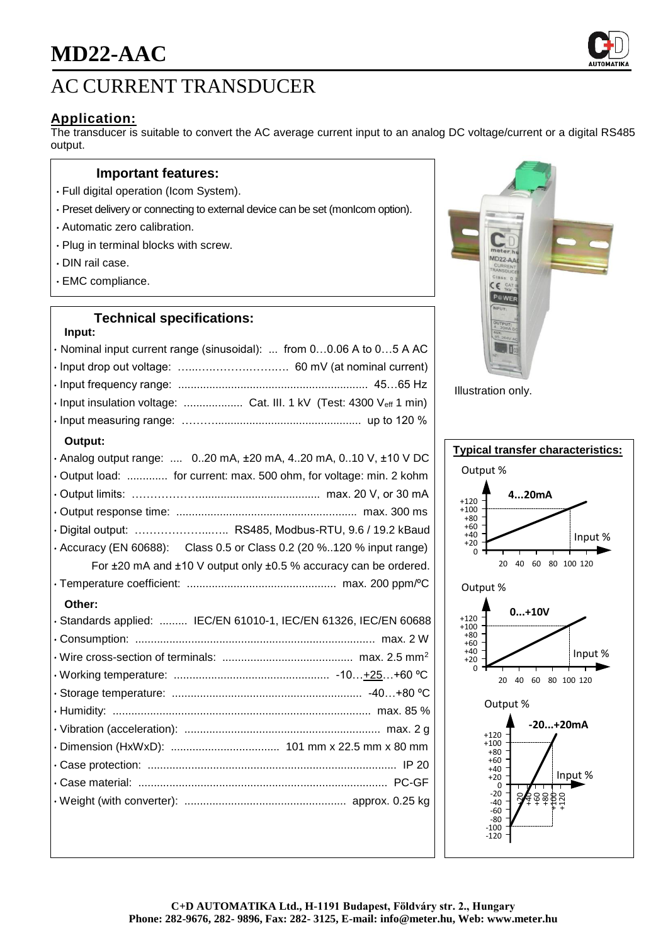

## **Application:**

The transducer is suitable to convert the AC average current input to an analog DC voltage/current or a digital RS485 output.

### **Important features:**

- Full digital operation (Icom System).
- Preset delivery or connecting to external device can be set (monIcom option).
- Automatic zero calibration.
- Plug in terminal blocks with screw.
- DIN rail case.
- EMC compliance.

## **Technical specifications:**

#### **Input:**

| · Nominal input current range (sinusoidal):  from 00.06 A to 05 A AC  |
|-----------------------------------------------------------------------|
|                                                                       |
|                                                                       |
| · Input insulation voltage:  Cat. III. 1 kV (Test: 4300 Veff 1 min)   |
|                                                                       |
| Output:                                                               |
| · Analog output range:  020 mA, ±20 mA, 420 mA, 010 V, ±10 V DC       |
| · Output load:  for current: max. 500 ohm, for voltage: min. 2 kohm   |
|                                                                       |
|                                                                       |
| · Digital output:  RS485, Modbus-RTU, 9.6 / 19.2 kBaud                |
| • Accuracy (EN 60688): Class 0.5 or Class 0.2 (20 %120 % input range) |
| For ±20 mA and ±10 V output only ±0.5 % accuracy can be ordered.      |
|                                                                       |
| Other:                                                                |
| · Standards applied:  IEC/EN 61010-1, IEC/EN 61326, IEC/EN 60688      |
|                                                                       |
|                                                                       |
|                                                                       |
|                                                                       |
|                                                                       |
|                                                                       |
|                                                                       |
|                                                                       |
|                                                                       |
|                                                                       |
|                                                                       |



Illustration only.